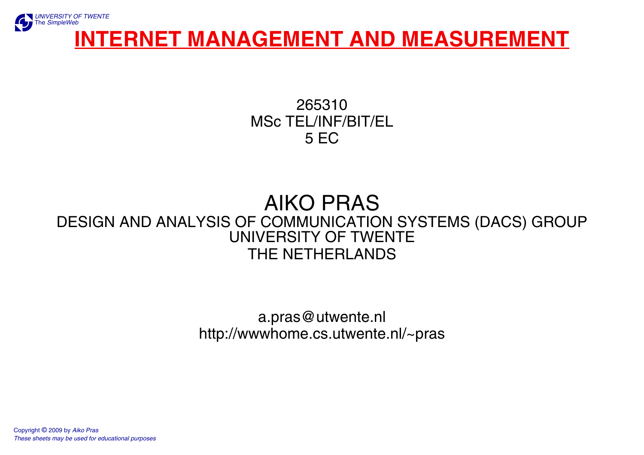

265310MSc TEL/INF/BIT/EL 5 EC

#### AIKO PRAS[DESIGN AND ANALYSIS OF COMMUNICATION SYSTEMS \(DACS\) GROUP](http://www.ctit.utwente.nl/) [UNIVERSITY OF TWENTE](http://www.utwente.nl/)THE NETHERLANDS

a.pras@utwente.nl [http://wwwhome.cs.utwente.nl/~pras](http://wwwhome.ctit.utwente.nl/~pras)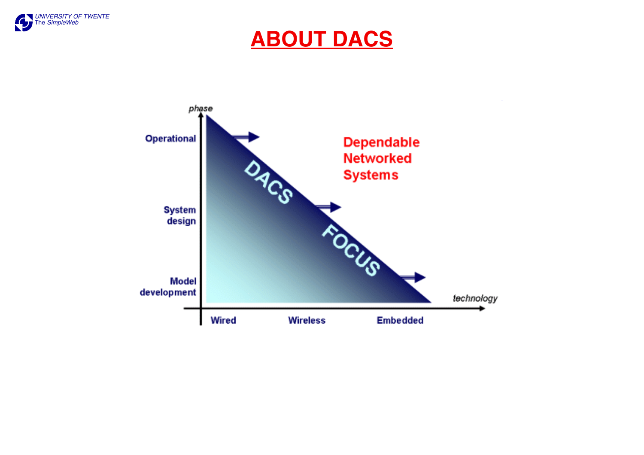

# **ABOUT DACS**

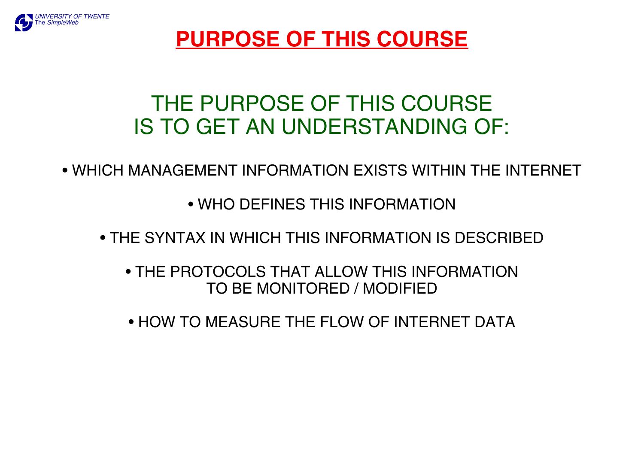

# **PURPOSE OF THIS COURSE**

# THE PURPOSE OF THIS COURSEIS TO GET AN UNDERSTANDING OF:

• WHICH MANAGEMENT INFORMATION EXISTS WITHIN THE INTERNET

• WHO DEFINES THIS INFORMATION

• THE SYNTAX IN WHICH THIS INFORMATION IS DESCRIBED

• THE PROTOCOLS THAT ALLOW THIS INFORMATIONTO BE MONITORED / MODIFIED

• HOW TO MEASURE THE FLOW OF INTERNET DATA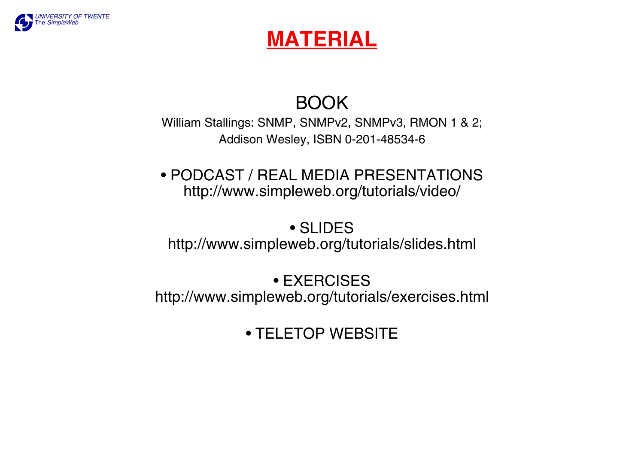

# **MATERIAL**

# BOOK

William Stallings: SNMP, SNMPv2, SNMPv3, RMON 1 & 2; Addison Wesley, ISBN 0-201-48534-6

#### • PODCAST / REAL MEDIA PRESENTATIONShttp://www.simpleweb.org/tutorials/video/

• SLIDEShttp://www.simpleweb.org/tutorials/slides.html

#### • EXERCISEShttp://www.simpleweb.org/tutorials/exercises.html

## • TELETOP WEBSITE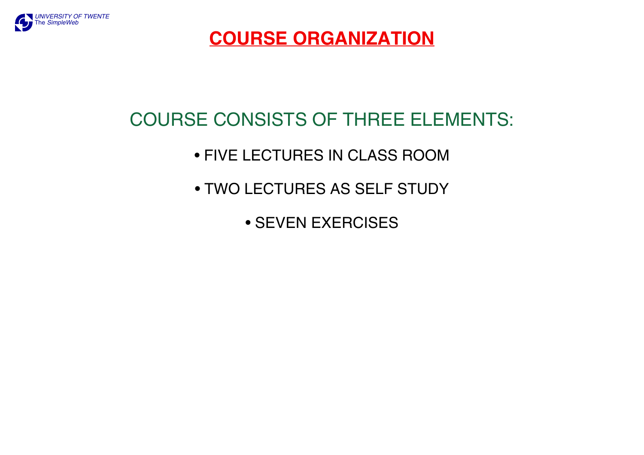

## **COURSE ORGANIZATION**

# COURSE CONSISTS OF THREE ELEMENTS:

## • FIVE LECTURES IN CLASS ROOM

- TWO LECTURES AS SELF STUDY
	- SEVEN EXERCISES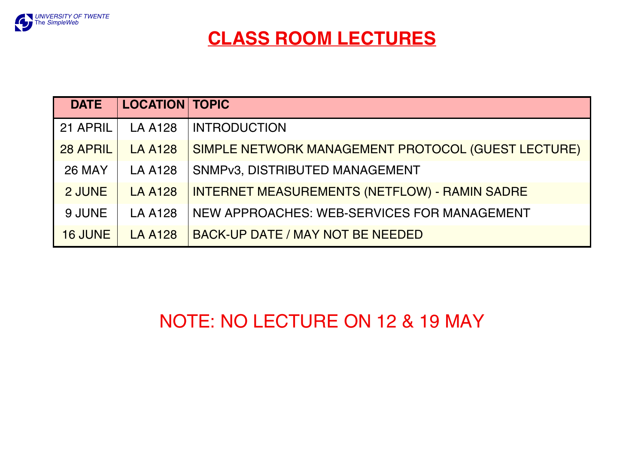

| <b>DATE</b>    | <b>LOCATION TOPIC</b> |                                                      |  |  |
|----------------|-----------------------|------------------------------------------------------|--|--|
| 21 APRIL       | <b>LA A128</b>        | <b>INTRODUCTION</b>                                  |  |  |
| 28 APRIL       | <b>LA A128</b>        | SIMPLE NETWORK MANAGEMENT PROTOCOL (GUEST LECTURE)   |  |  |
| <b>26 MAY</b>  | <b>LA A128</b>        | SNMPv3, DISTRIBUTED MANAGEMENT                       |  |  |
| 2 JUNE         | <b>LA A128</b>        | <b>INTERNET MEASUREMENTS (NETFLOW) - RAMIN SADRE</b> |  |  |
| 9 JUNE         | <b>LA A128</b>        | NEW APPROACHES: WEB-SERVICES FOR MANAGEMENT          |  |  |
| <b>16 JUNE</b> | <b>LA A128</b>        | <b>BACK-UP DATE / MAY NOT BE NEEDED</b>              |  |  |

# NOTE: NO LECTURE ON 12 & 19 MAY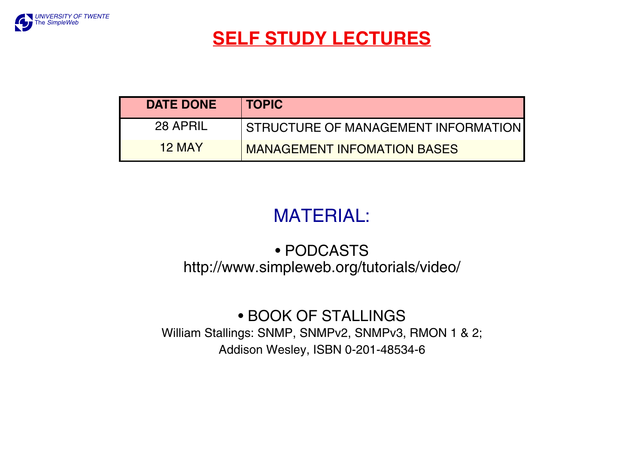

## **SELF STUDY LECTURES**

| <b>DATE DONE</b> | <b>TOPIC</b>                        |
|------------------|-------------------------------------|
| 28 APRIL         | STRUCTURE OF MANAGEMENT INFORMATION |
| <b>12 MAY</b>    | <b>MANAGEMENT INFOMATION BASES</b>  |

# MATERIAL:

#### • PODCASTShttp://www.simpleweb.org/tutorials/video/

• BOOK OF STALLINGS William Stallings: SNMP, SNMPv2, SNMPv3, RMON 1 & 2; Addison Wesley, ISBN 0-201-48534-6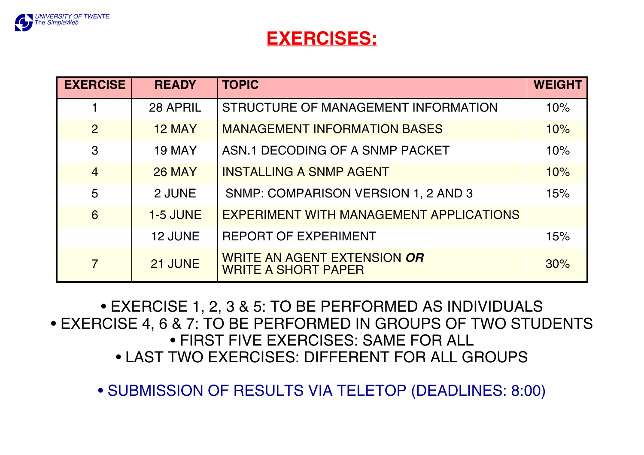

#### **EXERCISES:**

| <b>EXERCISE</b> | <b>READY</b>    | <b>TOPIC</b>                                                     | <b>WEIGHT</b> |
|-----------------|-----------------|------------------------------------------------------------------|---------------|
|                 | 28 APRIL        | STRUCTURE OF MANAGEMENT INFORMATION                              | 10%           |
| $\overline{2}$  | <b>12 MAY</b>   | <b>MANAGEMENT INFORMATION BASES</b>                              | 10%           |
| 3               | <b>19 MAY</b>   | ASN.1 DECODING OF A SNMP PACKET                                  | 10%           |
| $\overline{4}$  | <b>26 MAY</b>   | <b>INSTALLING A SNMP AGENT</b>                                   | 10%           |
| 5               | 2 JUNE          | SNMP: COMPARISON VERSION 1, 2 AND 3                              | 15%           |
| 6               | <b>1-5 JUNE</b> | <b>EXPERIMENT WITH MANAGEMENT APPLICATIONS</b>                   |               |
|                 | 12 JUNE         | <b>REPORT OF EXPERIMENT</b>                                      | 15%           |
| $\overline{7}$  | 21 JUNE         | <b>WRITE AN AGENT EXTENSION OR</b><br><b>WRITE A SHORT PAPER</b> | 30%           |

• EXERCISE 1, 2, 3 & 5: TO BE PERFORMED AS INDIVIDUALS • EXERCISE 4, 6 & 7: TO BE PERFORMED IN GROUPS OF TWO STUDENTS • FIRST FIVE EXERCISES: SAME FOR ALL• LAST TWO EXERCISES: DIFFERENT FOR ALL GROUPS

• SUBMISSION OF RESULTS VIA TELETOP (DEADLINES: 8:00)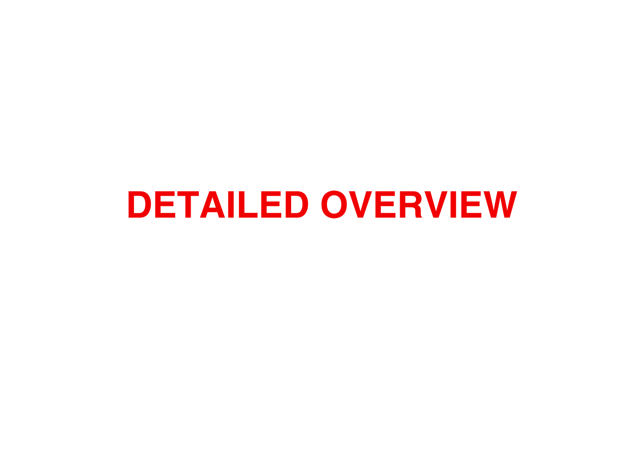# **DETAILED OVERVIEW**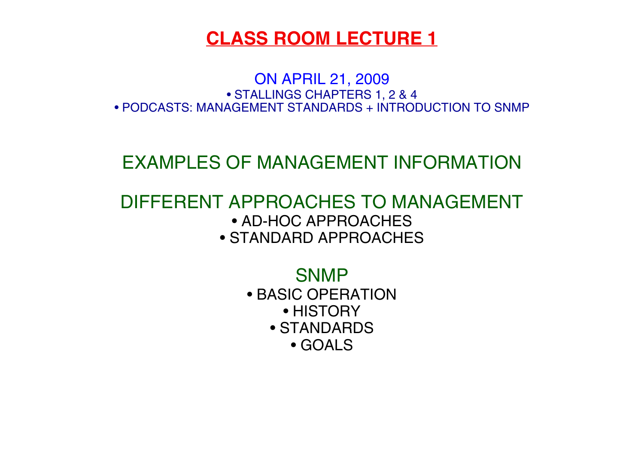ON APRIL 21, 2009 • STALLINGS CHAPTERS 1, 2 & 4 • PODCASTS: MANAGEMENT STANDARDS + INTRODUCTION TO SNMP

## EXAMPLES OF MANAGEMENT INFORMATION

#### DIFFERENT APPROACHES TO MANAGEMENT• AD-HOC APPROACHES• STANDARD APPROACHES

SNMP

- BASIC OPERATION
	- HISTORY
	- STANDARDS
		- GOALS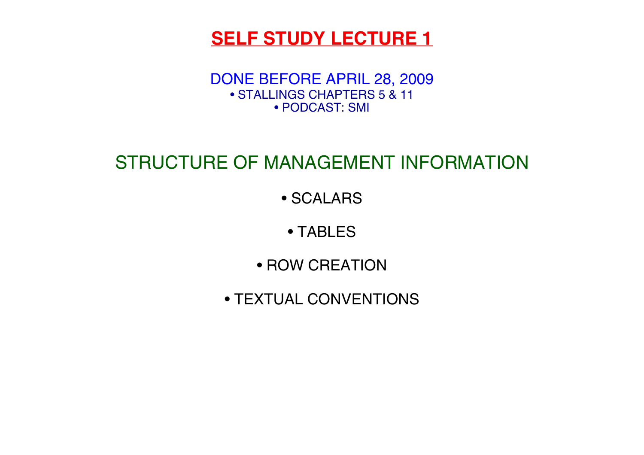## **SELF STUDY LECTURE 1**

DONE BEFORE APRIL 28, 2009 • STALLINGS CHAPTERS 5 & 11• PODCAST: SMI

# STRUCTURE OF MANAGEMENT INFORMATION

• SCALARS

• TABLES

• ROW CREATION

• TEXTUAL CONVENTIONS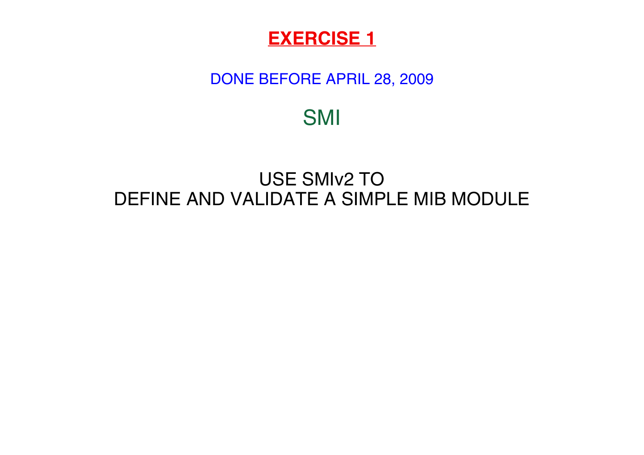#### DONE BEFORE APRIL 28, 2009

SMI

## USE SMIv2 TODEFINE AND VALIDATE A SIMPLE MIB MODULE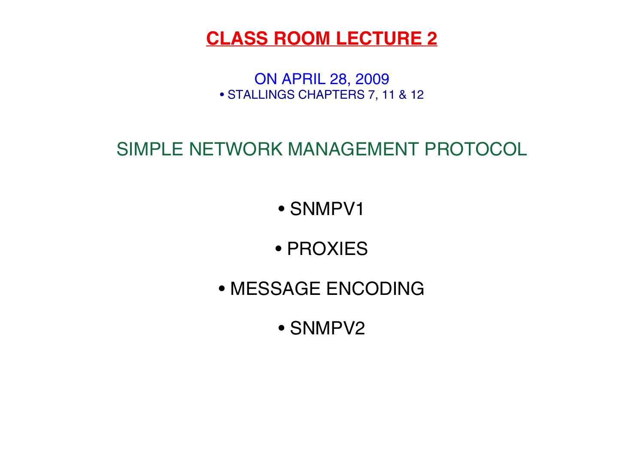ON APRIL 28, 2009 • STALLINGS CHAPTERS 7, 11 & 12

# SIMPLE NETWORK MANAGEMENT PROTOCOL

• SNMPV1

• PROXIES

• MESSAGE ENCODING

• SNMPV2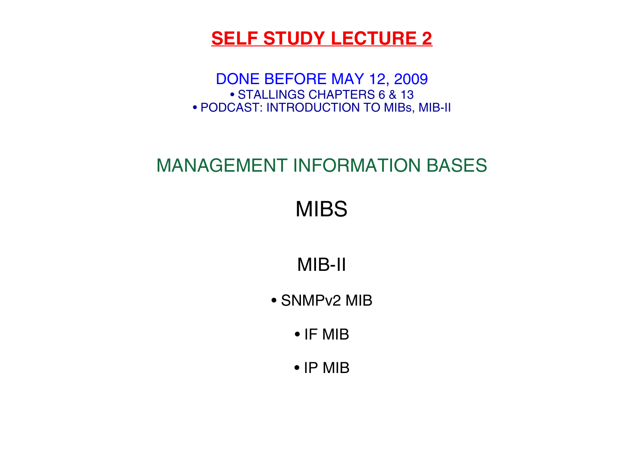## **SELF STUDY LECTURE 2**

DONE BEFORE MAY 12, 2009 • STALLINGS CHAPTERS 6 & 13 • PODCAST: INTRODUCTION TO MIBs, MIB-II

# MANAGEMENT INFORMATION BASES

MIBS

MIB-II

• SNMPv2 MIB

• IF MIB

• IP MIB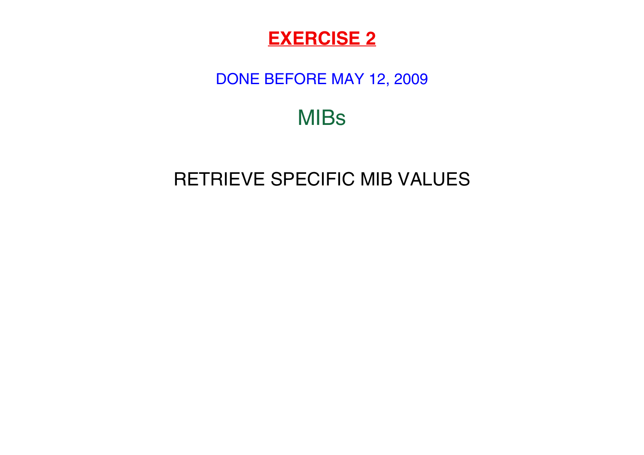

#### DONE BEFORE MAY 12, 2009

# MIBs

# RETRIEVE SPECIFIC MIB VALUES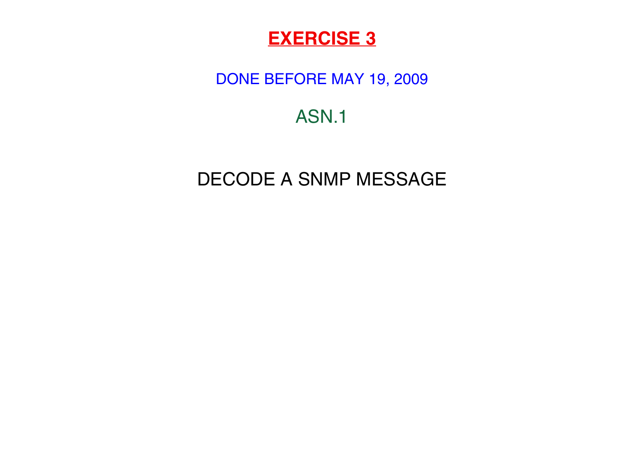#### DONE BEFORE MAY 19, 2009

# ASN.1

# DECODE A SNMP MESSAGE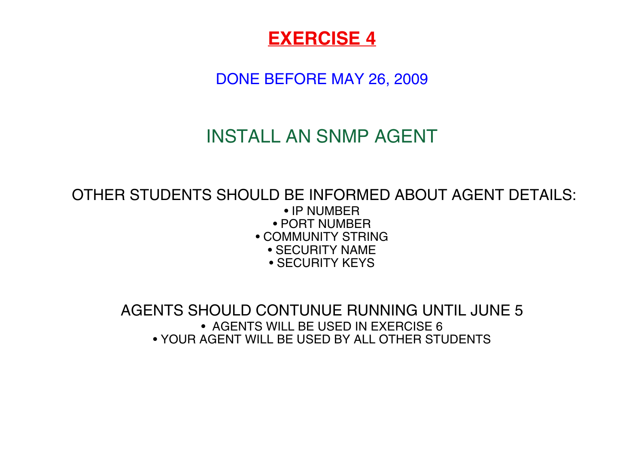DONE BEFORE MAY 26, 2009

# INSTALL AN SNMP AGENT

## OTHER STUDENTS SHOULD BE INFORMED ABOUT AGENT DETAILS:

- IP NUMBER
- PORT NUMBER
- COMMUNITY STRING
	- SECURITY NAME
	- SECURITY KEYS

AGENTS SHOULD CONTUNUE RUNNING UNTIL JUNE 5• AGENTS WILL BE USED IN EXERCISE 6• YOUR AGENT WILL BE USED BY ALL OTHER STUDENTS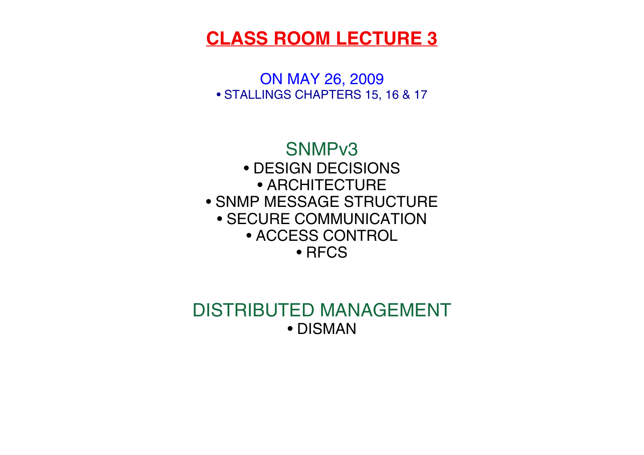ON MAY 26, 2009 • STALLINGS CHAPTERS 15, 16 & 17



#### DISTRIBUTED MANAGEMENT• DISMAN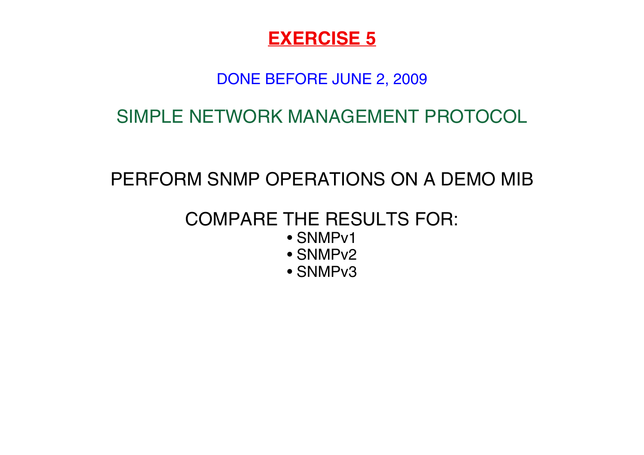#### DONE BEFORE JUNE 2, 2009

SIMPLE NETWORK MANAGEMENT PROTOCOL

# PERFORM SNMP OPERATIONS ON A DEMO MIB

# COMPARE THE RESULTS FOR:

- SNMPv1
- SNMPv2
- SNMPv3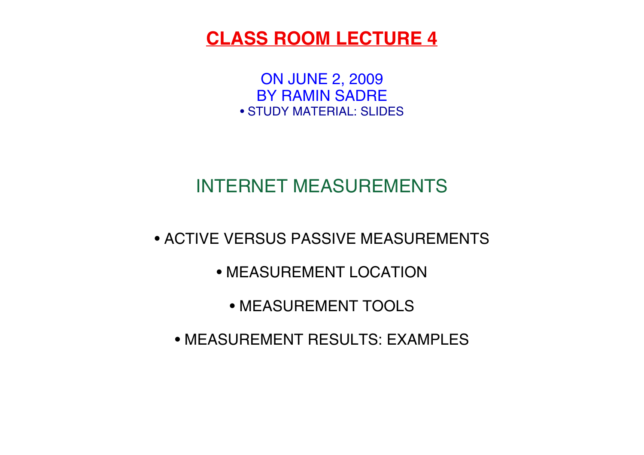ON JUNE 2, 2009 BY RAMIN SADRE• STUDY MATERIAL: SLIDES

# INTERNET MEASUREMENTS

• ACTIVE VERSUS PASSIVE MEASUREMENTS

• MEASUREMENT LOCATION

• MEASUREMENT TOOLS

• MEASUREMENT RESULTS: EXAMPLES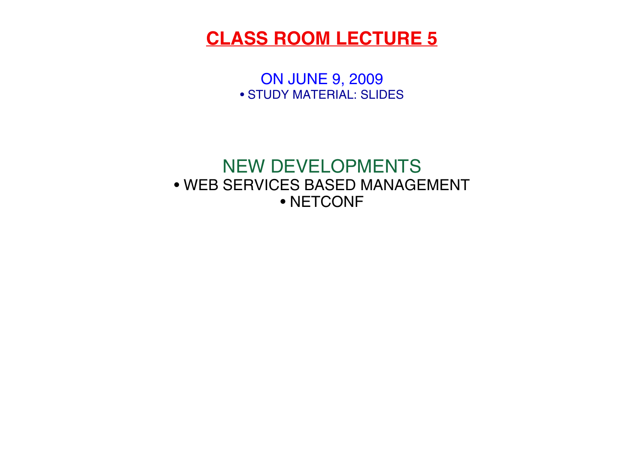ON JUNE 9, 2009 • STUDY MATERIAL: SLIDES

#### NEW DEVELOPMENTS • WEB SERVICES BASED MANAGEMENT• NETCONF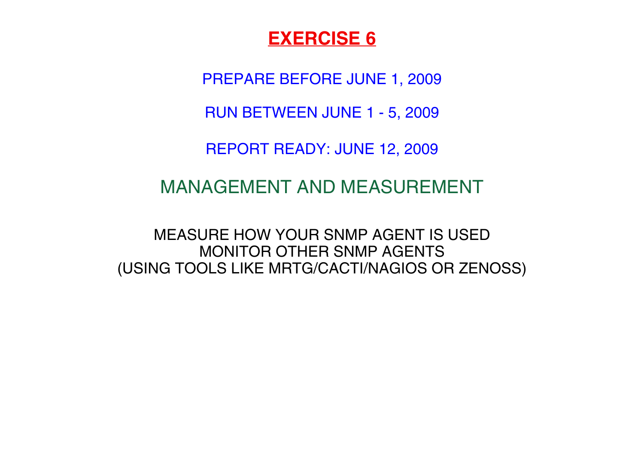PREPARE BEFORE JUNE 1, 2009

RUN BETWEEN JUNE 1 - 5, 2009

REPORT READY: JUNE 12, 2009

#### MANAGEMENT AND MEASUREMENT

MEASURE HOW YOUR SNMP AGENT IS USEDMONITOR OTHER SNMP AGENTS(USING TOOLS LIKE MRTG/CACTI/NAGIOS OR ZENOSS)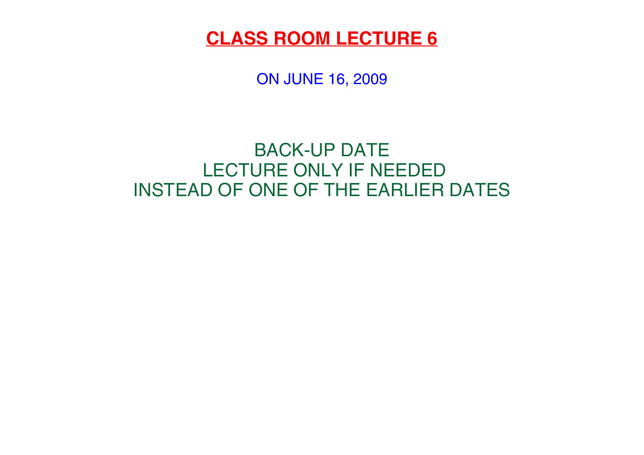ON JUNE 16, 2009

## BACK-UP DATE LECTURE ONLY IF NEEDEDINSTEAD OF ONE OF THE EARLIER DATES